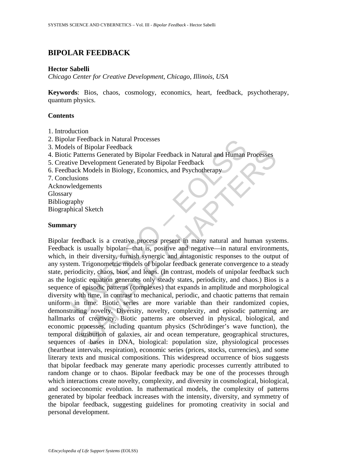# **BIPOLAR FEEDBACK**

# **Hector Sabelli**

*Chicago Center for Creative Development, Chicago, Illinois, USA* 

**Keywords**: Bios, chaos, cosmology, economics, heart, feedback, psychotherapy, quantum physics.

# **Contents**

- 1. Introduction
- 2. Bipolar Feedback in Natural Processes
- 3. Models of Bipolar Feedback
- 4. Biotic Patterns Generated by Bipolar Feedback in Natural and Human Processes
- 5. Creative Development Generated by Bipolar Feedback
- 6. Feedback Models in Biology, Economics, and Psychotherapy
- 7. Conclusions
- Acknowledgements Glossary
- Bibliography

Biographical Sketch

### **Summary**

Is of Bipolar Feedback in Natural Processes<br>
els of Bipolar Feedback in Natural and Human<br>
ive Development Generated by Bipolar Feedback in Natural and Human<br>
ive Development Generated by Bipolar Feedback<br>
back Models in B of papear (conocate<br>
atterns Generated by Bipolar Feedback in Natural and Human Processes<br>
Development Generated by Bipolar Feedback<br>
k Models in Biology, Economics, and Psychotherapy<br>
igements<br>
igements<br>
al Sketch<br>
al Ske Bipolar feedback is a creative process present in many natural and human systems. Feedback is usually bipolar—that is, positive and negative—in natural environments, which, in their diversity, furnish synergic and antagonistic responses to the output of any system. Trigonometric models of bipolar feedback generate convergence to a steady state, periodicity, chaos, bios, and leaps. (In contrast, models of unipolar feedback such as the logistic equation generates only steady states, periodicity, and chaos.) Bios is a sequence of episodic patterns (complexes) that expands in amplitude and morphological diversity with time, in contrast to mechanical, periodic, and chaotic patterns that remain uniform in time. Biotic series are more variable than their randomized copies, demonstrating novelty. Diversity, novelty, complexity, and episodic patterning are hallmarks of creativity. Biotic patterns are observed in physical, biological, and economic processes, including quantum physics (Schrödinger's wave function), the temporal distribution of galaxies, air and ocean temperature, geographical structures, sequences of bases in DNA, biological: population size, physiological processes (heartbeat intervals, respiration), economic series (prices, stocks, currencies), and some literary texts and musical compositions. This widespread occurrence of bios suggests that bipolar feedback may generate many aperiodic processes currently attributed to random change or to chaos. Bipolar feedback may be one of the processes through which interactions create novelty, complexity, and diversity in cosmological, biological, and socioeconomic evolution. In mathematical models, the complexity of patterns generated by bipolar feedback increases with the intensity, diversity, and symmetry of the bipolar feedback, suggesting guidelines for promoting creativity in social and personal development.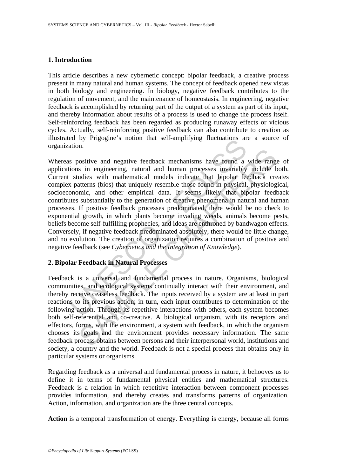# **1. Introduction**

This article describes a new cybernetic concept: bipolar feedback, a creative process present in many natural and human systems. The concept of feedback opened new vistas in both biology and engineering. In biology, negative feedback contributes to the regulation of movement, and the maintenance of homeostasis. In engineering, negative feedback is accomplished by returning part of the output of a system as part of its input, and thereby information about results of a process is used to change the process itself. Self-reinforcing feedback has been regarded as producing runaway effects or vicious cycles. Actually, self-reinforcing positive feedback can also contribute to creation as illustrated by Prigogine's notion that self-amplifying fluctuations are a source of organization.

ation.<br>
So positive and negative feedback mechanisms have found a<br>
so positive and negative feedback mechanisms have found a<br>
interns (bios) that uniquely resemble those found in physical,<br>
patterns (bios) that uniquely re The same interaction and measure feedback mechanisms have found a wide range is in engineering, natural and human processes invariably include to udies with mathematical models indicate that bipolar feedback createrns (bio Whereas positive and negative feedback mechanisms have found a wide range of applications in engineering, natural and human processes invariably include both. Current studies with mathematical models indicate that bipolar feedback creates complex patterns (bios) that uniquely resemble those found in physical, physiological, socioeconomic, and other empirical data. It seems likely that bipolar feedback contributes substantially to the generation of creative phenomena in natural and human processes. If positive feedback processes predominated, there would be no check to exponential growth, in which plants become invading weeds, animals become pests, beliefs become self-fulfilling prophecies, and ideas are enthroned by bandwagon effects. Conversely, if negative feedback predominated absolutely, there would be little change, and no evolution. The creation of organization requires a combination of positive and negative feedback (see *Cybernetics and the Integration of Knowledge*).

# **2. Bipolar Feedback in Natural Processes**

Feedback is a universal and fundamental process in nature. Organisms, biological communities, and ecological systems continually interact with their environment, and thereby receive ceaseless feedback. The inputs received by a system are at least in part reactions to its previous action; in turn, each input contributes to determination of the following action. Through its repetitive interactions with others, each system becomes both self-referential and co-creative. A biological organism, with its receptors and effectors, forms, with the environment, a system with feedback, in which the organism chooses its goals and the environment provides necessary information. The same feedback process obtains between persons and their interpersonal world, institutions and society, a country and the world. Feedback is not a special process that obtains only in particular systems or organisms.

Regarding feedback as a universal and fundamental process in nature, it behooves us to define it in terms of fundamental physical entities and mathematical structures. Feedback is a relation in which repetitive interaction between component processes provides information, and thereby creates and transforms patterns of organization. Action, information, and organization are the three central concepts.

**Action** is a temporal transformation of energy. Everything is energy, because all forms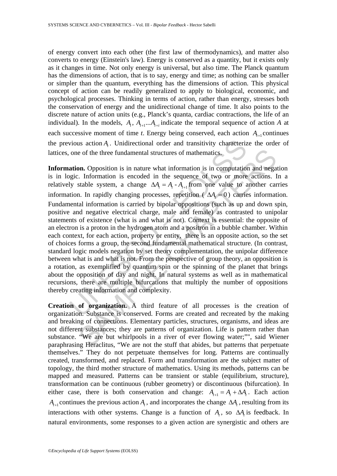of energy convert into each other (the first law of thermodynamics), and matter also converts to energy (Einstein's law). Energy is conserved as a quantity, but it exists only as it changes in time. Not only energy is universal, but also time. The Planck quantum has the dimensions of action, that is to say, energy and time; as nothing can be smaller or simpler than the quantum, everything has the dimensions of action. This physical concept of action can be readily generalized to apply to biological, economic, and psychological processes. Thinking in terms of action, rather than energy, stresses both the conservation of energy and the unidirectional change of time. It also points to the discrete nature of action units (e.g., Planck's quanta, cardiac contractions, the life of an individual). In the models,  $A_t$ ,  $A_{t+1} \ldots A_{t+1}$  indicate the temporal sequence of action A at each successive moment of time *t*. Energy being conserved, each action  $A_{t+1}$  continues the previous action *A*<sub>1</sub>. Unidirectional order and transitivity characterize the order of lattices, one of the three fundamental structures of mathematics.

vious action  $A_i$ . Unidirectional order and transitivity characteriz<br>one of the three fundamental structures of mathematics.<br>**ation.** Opposition is in nature what information is in computation<br>gige. Information is encoded e of the three fundamental structures of mathematics.<br> **on.** Opposition is in nature what information is in computation and negative ... Information is encoded in the sequence of two or more actions. It stable system, a c Information. Opposition is in nature what information is in computation and negation is in logic. Information is encoded in the sequence of two or more actions. In a relatively stable system, a change  $\Delta A_i = A_i - A_{i+1}$  from one value to another carries information. In rapidly changing processes, repetition ( $\Delta A = 0$ ) carries information. Fundamental information is carried by bipolar oppositions (such as up and down spin, positive and negative electrical charge, male and female) as contrasted to unipolar statements of existence (what is and what is not). Context is essential: the opposite of an electron is a proton in the hydrogen atom and a positron in a bubble chamber. Within each context, for each action, property or entity, there is an opposite action, so the set of choices forms a group, the second fundamental mathematical structure. (In contrast, standard logic models negation by set theory complementation, the unipolar difference between what is and what is not. From the perspective of group theory, an opposition is a rotation, as exemplified by quantum spin or the spinning of the planet that brings about the opposition of day and night. In natural systems as well as in mathematical recursions, there are multiple bifurcations that multiply the number of oppositions thereby creating information and complexity.

**Creation of organization.** A third feature of all processes is the creation of organization. Substance is conserved. Forms are created and recreated by the making and breaking of connections. Elementary particles, structures, organisms, and ideas are not different substances; they are patterns of organization. Life is pattern rather than substance. "We are but whirlpools in a river of ever flowing water;"", said Wiener paraphrasing Heraclitus, "We are not the stuff that abides, but patterns that perpetuate themselves." They do not perpetuate themselves for long. Patterns are continually created, transformed, and replaced. Form and transformation are the subject matter of topology, the third mother structure of mathematics. Using its methods, patterns can be mapped and measured. Patterns can be transient or stable (equilibrium, structure), transformation can be continuous (rubber geometry) or discontinuous (bifurcation). In either case, there is both conservation and change:  $A_{t+1} = A_t + \Delta A_t$ . Each action  $A_{\mu}$  continues the previous action *A*<sub>t</sub>, and incorporates the change  $\Delta A$ , resulting from its interactions with other systems. Change is a function of  $A$ , so  $\Delta A$  is feedback. In natural environments, some responses to a given action are synergistic and others are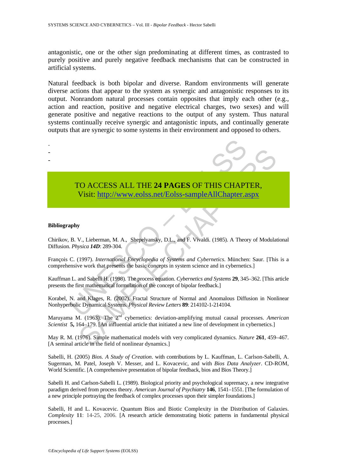antagonistic, one or the other sign predominating at different times, as contrasted to purely positive and purely negative feedback mechanisms that can be constructed in artificial systems.

Natural feedback is both bipolar and diverse. Random environments will generate diverse actions that appear to the system as synergic and antagonistic responses to its output. Nonrandom natural processes contain opposites that imply each other (e.g., action and reaction, positive and negative electrical charges, two sexes) and will generate positive and negative reactions to the output of any system. Thus natural systems continually receive synergic and antagonistic inputs, and continually generate outputs that are synergic to some systems in their environment and opposed to others.

- -

-



# TO ACCESS ALL THE 24 PAGES OF THIS CHAPT<br>Visit: http://www.eolss.net/Eolss-sampleAllChapter.a<br>phy<br>B. V., Lieberman, M. A., Shepelyansky, D.L., and F. Vivaldi. (1985). A Theor<br>*Physica 14D*: 289-304.<br>C. (1997). *Internation* CO ACCESS ALL THE 24 PAGES OF THIS CHA[PTE](https://www.eolss.net/ebooklib/sc_cart.aspx?File=E6-46-03-07)R,<br>Visit: http://www.eolss.net/Eolss-sampleAllChapter.aspx<br>V., Lieberman, M. A., Shepelyansky, D.L., and F. Vivaldi. (1985). A Theory of Modulat<br>ysica 14D: 289-304.<br>(1997). *Intern* TO ACCESS ALL THE **24 PAGES** OF THIS CHAPTER, Visit: http://www.eolss.net/Eolss-sampleAllChapter.aspx

### **Bibliography**

Chirikov, B. V., Lieberman, M. A., Shepelyansky, D.L., and F. Vivaldi. (1985). A Theory of Modulational Diffusion. *Physica 14D*: 289-304.

François C. (1997). *International Encyclopedia of Systems and Cybernetics*. München: Saur. [This is a comprehensive work that presents the basic concepts in system science and in cybernetics.]

Kauffman L. and Sabelli H. (1998). The process equation. *Cybernetics and Systems* **29**, 345–362. [This article presents the first mathematical formulation of the concept of bipolar feedback.]

Korabel, N. and Klages, R. (2002). Fractal Structure of Normal and Anomalous Diffusion in Nonlinear Nonhyperbolic Dynamical Systems. *Physical Review Letters* **89**: 214102-1-214104.

Maruyama M. (1963). The 2<sup>nd</sup> cybernetics: deviation-amplifying mutual causal processes. American *Scientist* **5,** 164–179. [An influential article that initiated a new line of development in cybernetics.]

May R. M. (1976). Simple mathematical models with very complicated dynamics. *Nature* **261**, 459–467. [A seminal article in the field of nonlinear dynamics.]

Sabelli, H. (2005) *Bios. A Study of Creation*. with contributions by L. Kauffman, L. Carlson-Sabelli, A. Sugerman, M. Patel, Joseph V. Messer, and L. Kovacevic, and with *Bios Data Analyzer*. CD-ROM, World Scientific. [A comprehensive presentation of bipolar feedback, bios and Bios Theory.]

Sabelli H. and Carlson-Sabelli L. (1989). Biological priority and psychological supremacy, a new integrative paradigm derived from process theory. *American Journal of Psychiatry* **146**, 1541–1551. [The formulation of a new principle portraying the feedback of complex processes upon their simpler foundations.]

Sabelli, H and L. Kovacevic. Quantum Bios and Biotic Complexity in the Distribution of Galaxies. *Complexity* **11**: 14-25, 2006. [A research article demonstrating biotic patterns in fundamental physical processes.]